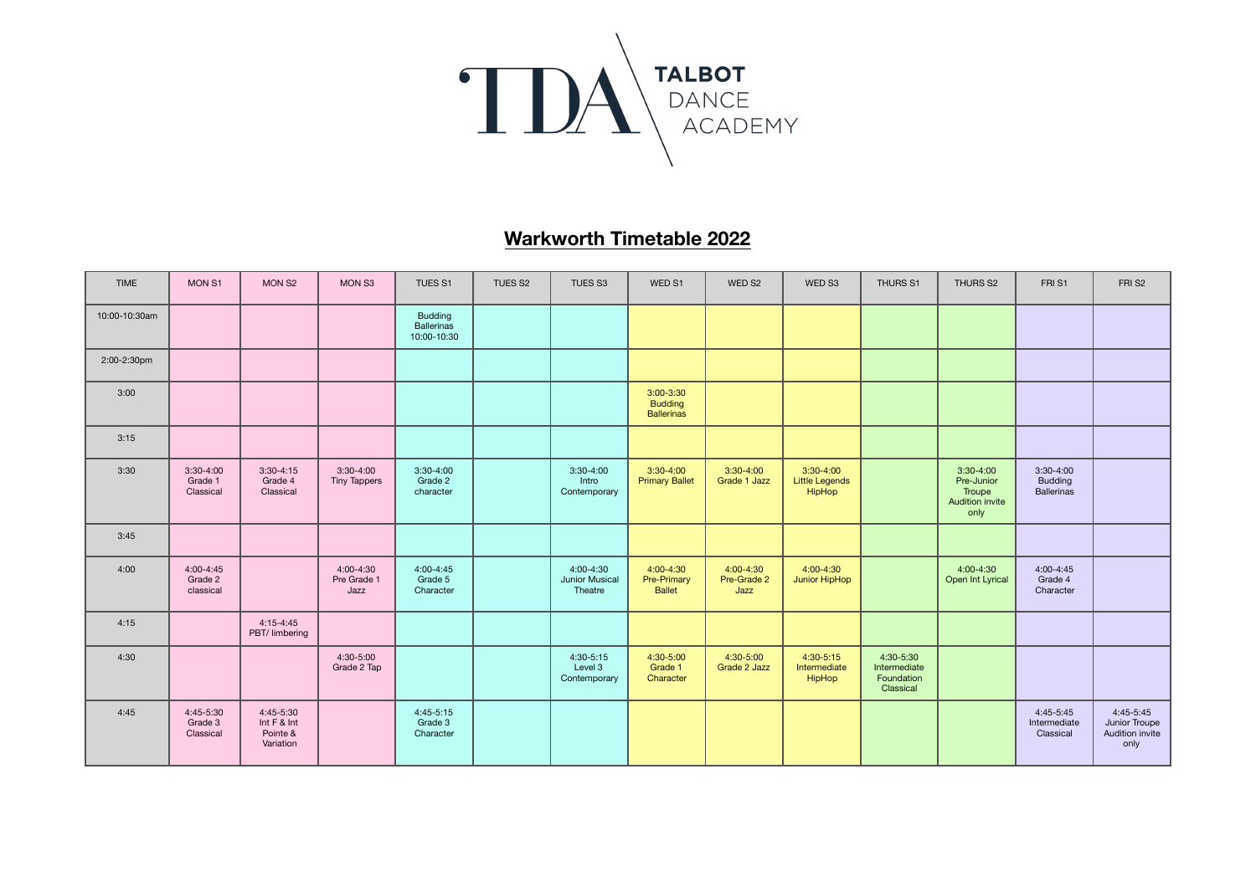

## **Warkworth Timetable 2022**

| <b>TIME</b>   | MON <sub>S1</sub>                     | MON S <sub>2</sub>                                | MON S3                             | TUES <sub>S1</sub>                          | TUES S2 | TUES <sub>S3</sub>                         | WED S1                                             | WED S2                           | WED S3                                         | THURS S1                                             | THURS S2                                                       | FRI <sub>S1</sub>                                  | FRI <sub>S2</sub>                                       |
|---------------|---------------------------------------|---------------------------------------------------|------------------------------------|---------------------------------------------|---------|--------------------------------------------|----------------------------------------------------|----------------------------------|------------------------------------------------|------------------------------------------------------|----------------------------------------------------------------|----------------------------------------------------|---------------------------------------------------------|
| 10:00-10:30am |                                       |                                                   |                                    | <b>Budding</b><br>Ballerinas<br>10:00-10:30 |         |                                            |                                                    |                                  |                                                |                                                      |                                                                |                                                    |                                                         |
| 2:00-2:30pm   |                                       |                                                   |                                    |                                             |         |                                            |                                                    |                                  |                                                |                                                      |                                                                |                                                    |                                                         |
| 3:00          |                                       |                                                   |                                    |                                             |         |                                            | $3:00-3:30$<br><b>Budding</b><br><b>Ballerinas</b> |                                  |                                                |                                                      |                                                                |                                                    |                                                         |
| 3:15          |                                       |                                                   |                                    |                                             |         |                                            |                                                    |                                  |                                                |                                                      |                                                                |                                                    |                                                         |
| 3:30          | $3:30-4:00$<br>Grade 1<br>Classical   | $3:30-4:15$<br>Grade 4<br>Classical               | $3:30-4:00$<br><b>Tiny Tappers</b> | $3:30-4:00$<br>Grade 2<br>character         |         | $3:30-4:00$<br>Intro<br>Contemporary       | $3:30-4:00$<br><b>Primary Ballet</b>               | $3:30-4:00$<br>Grade 1 Jazz      | $3:30-4:00$<br><b>Little Legends</b><br>HipHop |                                                      | $3:30-4:00$<br>Pre-Junior<br>Troupe<br>Audition invite<br>only | $3:30-4:00$<br><b>Budding</b><br><b>Ballerinas</b> |                                                         |
| 3:45          |                                       |                                                   |                                    |                                             |         |                                            |                                                    |                                  |                                                |                                                      |                                                                |                                                    |                                                         |
| 4:00          | $4:00 - 4:45$<br>Grade 2<br>classical |                                                   | 4:00-4:30<br>Pre Grade 1<br>Jazz   | 4:00-4:45<br>Grade 5<br>Character           |         | $4:00 - 4:30$<br>Junior Musical<br>Theatre | 4:00-4:30<br>Pre-Primary<br><b>Ballet</b>          | 4:00-4:30<br>Pre-Grade 2<br>Jazz | $4:00 - 4:30$<br>Junior HipHop                 |                                                      | 4:00-4:30<br>Open Int Lyrical                                  | $4:00 - 4:45$<br>Grade 4<br>Character              |                                                         |
| 4:15          |                                       | $4:15 - 4:45$<br>PBT/ limbering                   |                                    |                                             |         |                                            |                                                    |                                  |                                                |                                                      |                                                                |                                                    |                                                         |
| 4:30          |                                       |                                                   | 4:30-5:00<br>Grade 2 Tap           |                                             |         | 4:30-5:15<br>Level 3<br>Contemporary       | 4:30-5:00<br>Grade 1<br>Character                  | 4:30-5:00<br>Grade 2 Jazz        | $4:30 - 5:15$<br>Intermediate<br>HipHop        | 4:30-5:30<br>Intermediate<br>Foundation<br>Classical |                                                                |                                                    |                                                         |
| 4:45          | 4:45-5:30<br>Grade 3<br>Classical     | 4:45-5:30<br>Int F & Int<br>Pointe &<br>Variation |                                    | 4:45-5:15<br>Grade 3<br>Character           |         |                                            |                                                    |                                  |                                                |                                                      |                                                                | 4:45-5:45<br>Intermediate<br>Classical             | $4:45-5:45$<br>Junior Troupe<br>Audition invite<br>only |